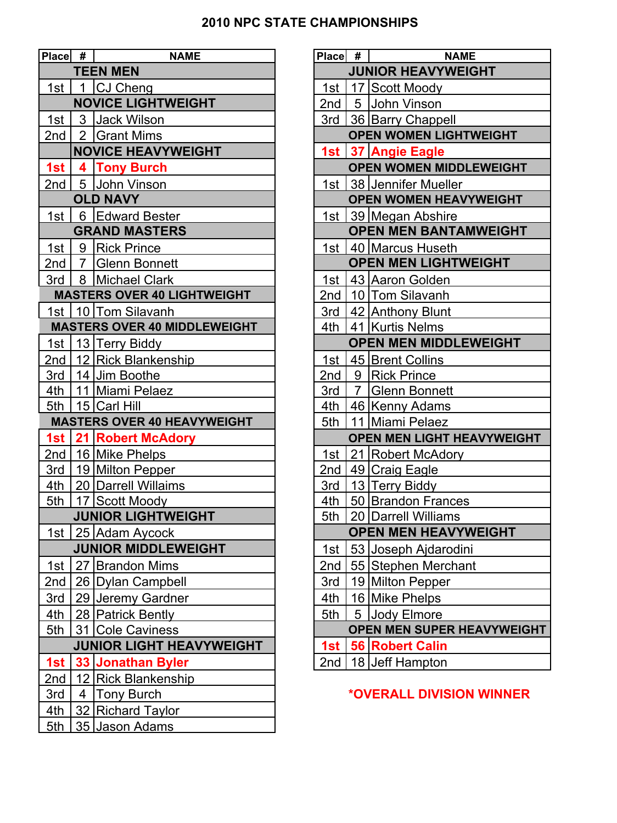## **2010 NPC STATE CHAMPIONSHIPS**

| Place # |   | <b>NAME</b>                         | Place # | <b>NAME</b>                            |
|---------|---|-------------------------------------|---------|----------------------------------------|
|         |   | <b>TEEN MEN</b>                     |         | <b>JUNIOR HEAVYWEIGHT</b>              |
| 1st I   | 1 | CJ Cheng                            | 1st     | 17 Scott Moody                         |
|         |   | <b>NOVICE LIGHTWEIGHT</b>           | 2nd     | 5 John Vinson                          |
| 1st     |   | 3 Jack Wilson                       | 3rd     | 36 Barry Chappell                      |
| 2nd     |   | 2 Grant Mims                        |         | <b>OPEN WOMEN LIGHTWEIGHT</b>          |
|         |   | <b>NOVICE HEAVYWEIGHT</b>           | 1st     | 37 Angie Eagle                         |
| 1st     |   | 4 Tony Burch                        |         | <b>OPEN WOMEN MIDDLEWEIGHT</b>         |
| 2nd     |   | 5 John Vinson                       | 1st     | 38 Jennifer Mueller                    |
|         |   | <b>OLD NAVY</b>                     |         | <b>OPEN WOMEN HEAVYWEIGHT</b>          |
| 1st     |   | 6 Edward Bester                     | 1st     | 39 Megan Abshire                       |
|         |   | <b>GRAND MASTERS</b>                |         | <b>OPEN MEN BANTAMWEIGHT</b>           |
| 1st     |   | 9 Rick Prince                       | 1st     | 40 Marcus Huseth                       |
|         |   | 2nd   7 Glenn Bonnett               |         | <b>OPEN MEN LIGHTWEIGHT</b>            |
| 3rd     |   | 8 Michael Clark                     | 1st     | 43 Aaron Golden                        |
|         |   | <b>MASTERS OVER 40 LIGHTWEIGHT</b>  | 2nd     | 10 Tom Silavanh                        |
|         |   | 1st   10   Tom Silavanh             | 3rd     | 42 Anthony Blunt                       |
|         |   | <b>MASTERS OVER 40 MIDDLEWEIGHT</b> | 4th     | 41 Kurtis Nelms                        |
| 1st     |   | 13 Terry Biddy                      |         | <b>OPEN MEN MIDDLEWEIGHT</b>           |
|         |   | 2nd 12 Rick Blankenship             | 1st     | 45 Brent Collins                       |
| 3rd     |   | 14 Jim Boothe                       | 2nd     | 9 Rick Prince                          |
|         |   | 4th 11 Miami Pelaez                 | 3rd     | 7 Glenn Bonnett                        |
| 5th     |   | 15 Carl Hill                        | 4th     | 46 Kenny Adams                         |
|         |   | <b>MASTERS OVER 40 HEAVYWEIGHT</b>  | 5th     | 11 Miami Pelaez                        |
|         |   | 1st   21   Robert McAdory           |         | OPEN MEN LIGHT HEAVYWEIGHT             |
|         |   | 2nd   16 Mike Phelps                | 1st     | 21 Robert McAdory                      |
| 3rd     |   | 19 Milton Pepper                    | 2nd     | 49 Craig Eagle                         |
| 4th     |   | 20 Darrell Willaims                 | 3rd     | 13 Terry Biddy                         |
| 5th     |   | 17 Scott Moody                      | 4th     | 50 Brandon Frances                     |
|         |   | <b>JUNIOR LIGHTWEIGHT</b>           | 5th     | 20 Darrell Williams                    |
|         |   | 1st   25 Adam Aycock                |         | <b>OPEN MEN HEAVYWEIGHT</b>            |
|         |   | <b>JUNIOR MIDDLEWEIGHT</b>          | 1st     | 53 Joseph Ajdarodini                   |
| 1st     |   | 27 Brandon Mims                     | 2nd     | 55 Stephen Merchant                    |
| 2nd     |   | 26 Dylan Campbell                   | 3rd     | 19 Milton Pepper                       |
| 3rd     |   | 29 Jeremy Gardner                   | 4th     | 16 Mike Phelps                         |
| 4th     |   | 28 Patrick Bently                   | 5th     | 5 Jody Elmore                          |
| 5th     |   | 31 Cole Caviness                    |         | <b>OPEN MEN SUPER HEAVYWEIGHT</b>      |
|         |   | <b>JUNIOR LIGHT HEAVYWEIGHT</b>     | 1st     | <b>56 Robert Calin</b>                 |
| 1st     |   | 33 Jonathan Byler                   | 2nd     | 18 Jeff Hampton                        |
| 2nd     |   | 12 Rick Blankenship                 |         |                                        |
| 3rd     |   | 4 Tony Burch                        |         | <i><b>*OVERALL DIVISION WINNER</b></i> |
| 4th     |   | 32 Richard Taylor                   |         |                                        |
| 5th     |   | 35 Jason Adams                      |         |                                        |

| # | <b>NAME</b>                       | Place # | <b>NAME</b>                       |
|---|-----------------------------------|---------|-----------------------------------|
|   | <b>TEEN MEN</b>                   |         | <b>JUNIOR HEAVYWEIGHT</b>         |
|   | 1 CJ Cheng                        | 1st     | 17 Scott Moody                    |
|   | <b>NOVICE LIGHTWEIGHT</b>         | 2nd     | 5 John Vinson                     |
|   | 3 Jack Wilson                     | 3rd     | 36 Barry Chappell                 |
|   | 2 Grant Mims                      |         | <b>OPEN WOMEN LIGHTWEIGHT</b>     |
|   | <b>NOVICE HEAVYWEIGHT</b>         |         | 1st 37 Angie Eagle                |
|   | 4 Tony Burch                      |         | <b>OPEN WOMEN MIDDLEWEIGHT</b>    |
|   | 5 John Vinson                     |         | 1st 38 Jennifer Mueller           |
|   | <b>OLD NAVY</b>                   |         | <b>OPEN WOMEN HEAVYWEIGHT</b>     |
|   | 6 Edward Bester                   | 1st     | 39 Megan Abshire                  |
|   | <b>GRAND MASTERS</b>              |         | <b>OPEN MEN BANTAMWEIGHT</b>      |
|   | 9 Rick Prince                     |         | 1st   40   Marcus Huseth          |
|   | 7 Glenn Bonnett                   |         | <b>OPEN MEN LIGHTWEIGHT</b>       |
|   | 8 Michael Clark                   | 1st     | 43 Aaron Golden                   |
|   | <b>STERS OVER 40 LIGHTWEIGHT</b>  | 2nd     | 10 Tom Silavanh                   |
|   | 10 Tom Silavanh                   |         | 3rd   42 Anthony Blunt            |
|   | <b>STERS OVER 40 MIDDLEWEIGHT</b> | 4th     | 41 Kurtis Nelms                   |
|   | 13 Terry Biddy                    |         | <b>OPEN MEN MIDDLEWEIGHT</b>      |
|   | 12 Rick Blankenship               | 1st $ $ | 45 Brent Collins                  |
|   | 14 Jim Boothe                     | 2nd     | 9 Rick Prince                     |
|   | 11 Miami Pelaez                   | 3rd     | 7 Glenn Bonnett                   |
|   | 15 Carl Hill                      | 4th     | 46 Kenny Adams                    |
|   | <b>STERS OVER 40 HEAVYWEIGHT</b>  | 5th     | 11 Miami Pelaez                   |
|   | <b>21 Robert McAdory</b>          |         | <b>OPEN MEN LIGHT HEAVYWEIGHT</b> |
|   | 16 Mike Phelps                    | 1st     | 21 Robert McAdory                 |
|   | 19 Milton Pepper                  | 2nd     | 49 Craig Eagle                    |
|   | 20 Darrell Willaims               | 3rd     | 13 Terry Biddy                    |
|   | 17 Scott Moody                    | 4th     | 50 Brandon Frances                |
|   | <b>JUNIOR LIGHTWEIGHT</b>         | 5th     | 20 Darrell Williams               |
|   | 25 Adam Aycock                    |         | <b>OPEN MEN HEAVYWEIGHT</b>       |
|   | <b>JUNIOR MIDDLEWEIGHT</b>        | 1st     | 53 Joseph Ajdarodini              |
|   | 27 Brandon Mims                   | 2nd     | 55 Stephen Merchant               |
|   | 26 Dylan Campbell                 | 3rd     | 19 Milton Pepper                  |
|   | 29 Jeremy Gardner                 | 4th     | 16 Mike Phelps                    |
|   | 28 Patrick Bently                 | 5th     | 5 Jody Elmore                     |
|   | 31 Cole Caviness                  |         | OPEN MEN SUPER HEAVYWEIGHT        |
|   | <b>JUNIOR LIGHT HEAVYWEIGHT</b>   | 1st     | <b>56 Robert Calin</b>            |
|   | 33 Jonathan Byler                 | 2nd     | 18 Jeff Hampton                   |

## 3rd 4 Tony Burch **\*OVERALL DIVISION WINNER**